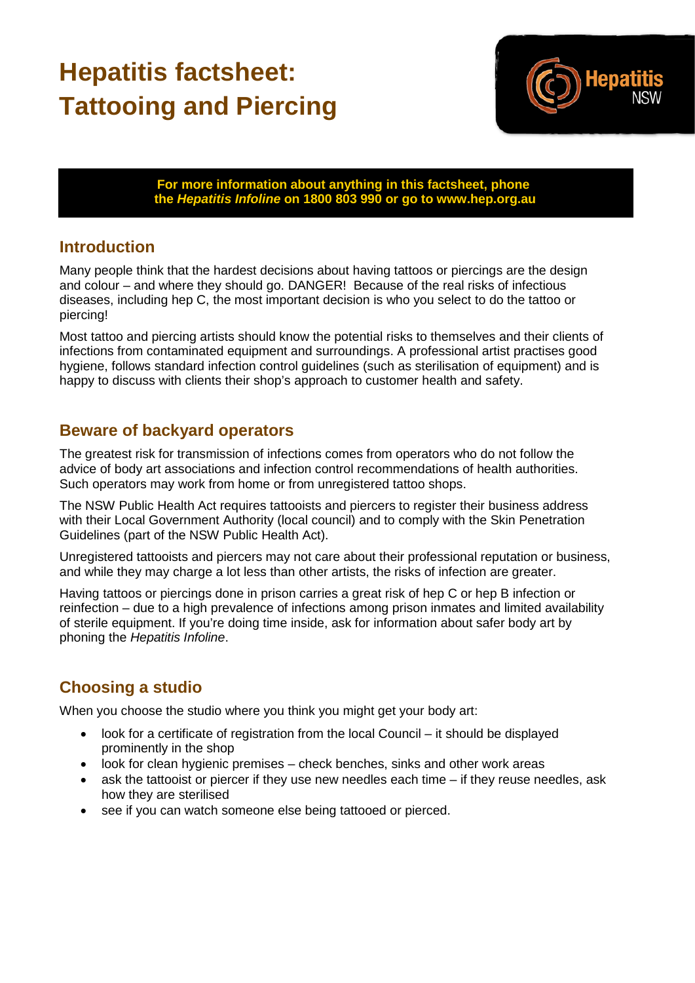## **Hepatitis factsheet: Tattooing and Piercing**



**For more information about anything in this factsheet, phone the** *Hepatitis Infoline* **on 1800 803 990 or go to www.hep.org.au**

## **Introduction**

Many people think that the hardest decisions about having tattoos or piercings are the design and colour – and where they should go. DANGER! Because of the real risks of infectious diseases, including hep C, the most important decision is who you select to do the tattoo or piercing!

Most tattoo and piercing artists should know the potential risks to themselves and their clients of infections from contaminated equipment and surroundings. A professional artist practises good hygiene, follows standard infection control guidelines (such as sterilisation of equipment) and is happy to discuss with clients their shop's approach to customer health and safety.

## **Beware of backyard operators**

The greatest risk for transmission of infections comes from operators who do not follow the advice of body art associations and infection control recommendations of health authorities. Such operators may work from home or from unregistered tattoo shops.

The NSW Public Health Act requires tattooists and piercers to register their business address with their Local Government Authority (local council) and to comply with the Skin Penetration Guidelines (part of the NSW Public Health Act).

Unregistered tattooists and piercers may not care about their professional reputation or business, and while they may charge a lot less than other artists, the risks of infection are greater.

Having tattoos or piercings done in prison carries a great risk of hep C or hep B infection or reinfection – due to a high prevalence of infections among prison inmates and limited availability of sterile equipment. If you're doing time inside, ask for information about safer body art by phoning the *Hepatitis Infoline*.

## **Choosing a studio**

When you choose the studio where you think you might get your body art:

- look for a certificate of registration from the local Council it should be displayed prominently in the shop
- look for clean hygienic premises check benches, sinks and other work areas
- ask the tattooist or piercer if they use new needles each time if they reuse needles, ask how they are sterilised
- see if you can watch someone else being tattooed or pierced.